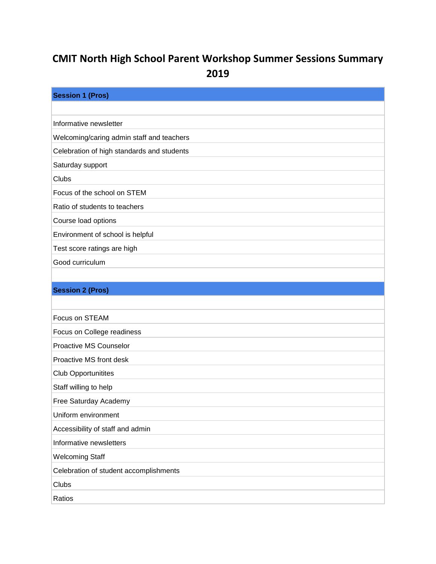## **CMIT North High School Parent Workshop Summer Sessions Summary 2019**

| <b>Session 1 (Pros)</b>                    |
|--------------------------------------------|
|                                            |
| Informative newsletter                     |
| Welcoming/caring admin staff and teachers  |
| Celebration of high standards and students |
| Saturday support                           |
| Clubs                                      |
| Focus of the school on STEM                |
| Ratio of students to teachers              |
| Course load options                        |
| Environment of school is helpful           |
| Test score ratings are high                |
| Good curriculum                            |
|                                            |
| <b>Session 2 (Pros)</b>                    |
|                                            |
| Focus on STEAM                             |
| Focus on College readiness                 |
| Proactive MS Counselor                     |
| Proactive MS front desk                    |
| <b>Club Opportunitites</b>                 |
| Staff willing to help                      |
| Free Saturday Academy                      |
| Uniform environment                        |
| Accessibility of staff and admin           |
| Informative newsletters                    |
| <b>Welcoming Staff</b>                     |
| Celebration of student accomplishments     |
| Clubs                                      |
| Ratios                                     |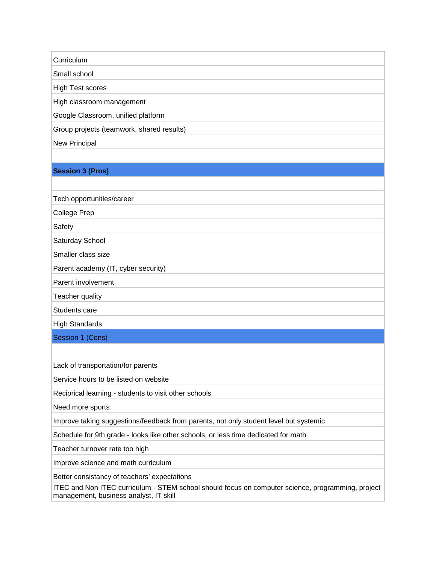**Curriculum** 

Small school

High Test scores

High classroom management

Google Classroom, unified platform

Group projects (teamwork, shared results)

New Principal

## **Session 3 (Pros)**

Tech opportunities/career

College Prep

Safety

Saturday School

Smaller class size

Parent academy (IT, cyber security)

Parent involvement

Teacher quality

Students care

High Standards

Session 1 (Cons)

Lack of transportation/for parents

Service hours to be listed on website

Reciprical learning - students to visit other schools

Need more sports

Improve taking suggestions/feedback from parents, not only student level but systemic

Schedule for 9th grade - looks like other schools, or less time dedicated for math

Teacher turnover rate too high

Improve science and math curriculum

Better consistancy of teachers' expectations

ITEC and Non ITEC curriculum - STEM school should focus on computer science, programming, project management, business analyst, IT skill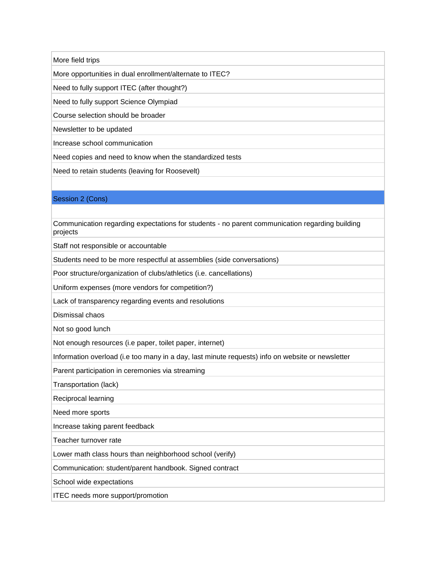More field trips

More opportunities in dual enrollment/alternate to ITEC?

Need to fully support ITEC (after thought?)

Need to fully support Science Olympiad

Course selection should be broader

Newsletter to be updated

Increase school communication

Need copies and need to know when the standardized tests

Need to retain students (leaving for Roosevelt)

## Session 2 (Cons)

Communication regarding expectations for students - no parent communication regarding building projects

Staff not responsible or accountable

Students need to be more respectful at assemblies (side conversations)

Poor structure/organization of clubs/athletics (i.e. cancellations)

Uniform expenses (more vendors for competition?)

Lack of transparency regarding events and resolutions

Dismissal chaos

Not so good lunch

Not enough resources (i.e paper, toilet paper, internet)

Information overload (i.e too many in a day, last minute requests) info on website or newsletter

Parent participation in ceremonies via streaming

Transportation (lack)

Reciprocal learning

Need more sports

Increase taking parent feedback

Teacher turnover rate

Lower math class hours than neighborhood school (verify)

Communication: student/parent handbook. Signed contract

School wide expectations

ITEC needs more support/promotion